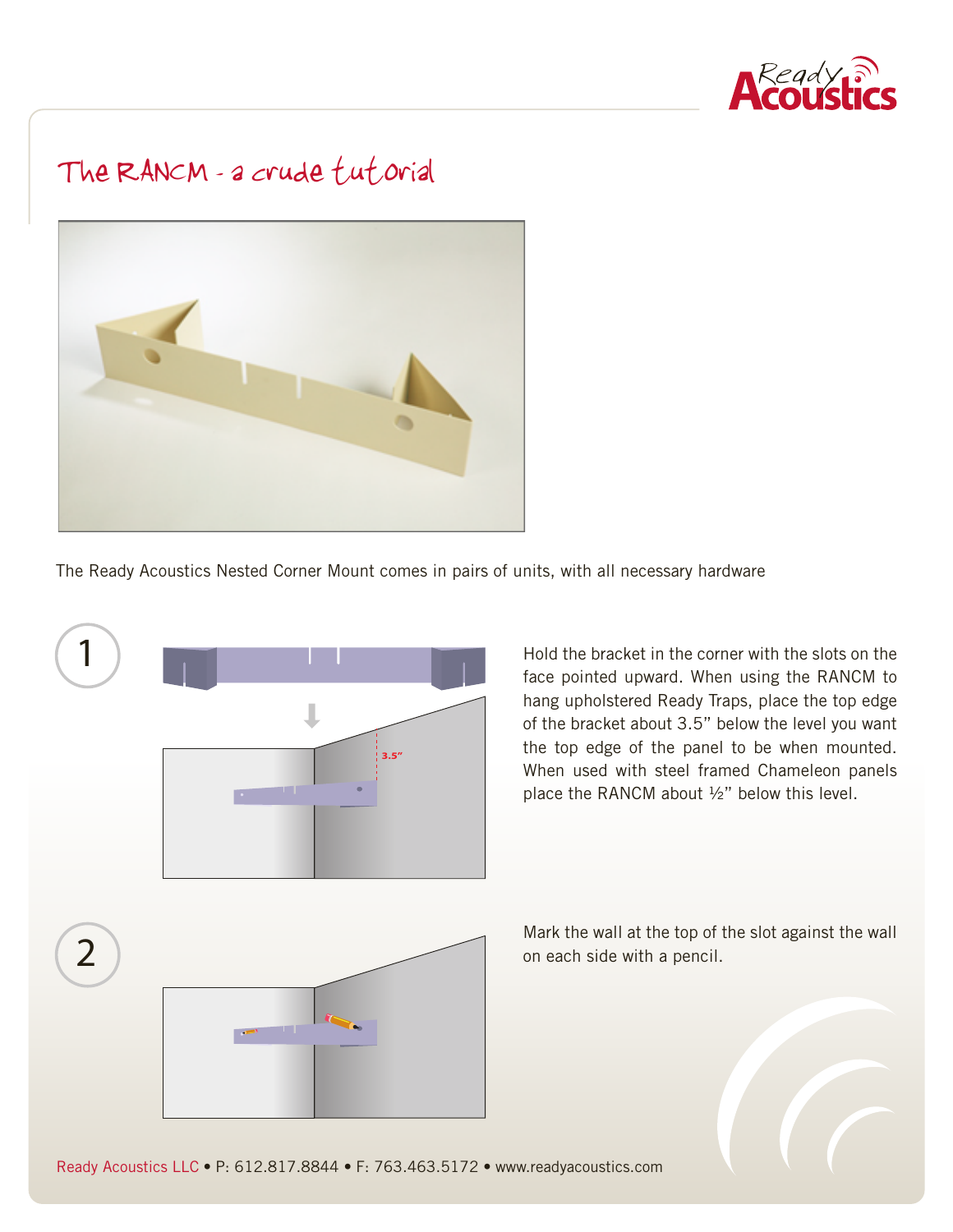

## The RANCM - a crude fut orial



The Ready Acoustics Nested Corner Mount comes in pairs of units, with all necessary hardware



Hold the bracket in the corner with the slots on the face pointed upward. When using the RANCM to hang upholstered Ready Traps, place the top edge of the bracket about 3.5" below the level you want the top edge of the panel to be when mounted. When used with steel framed Chameleon panels place the RANCM about ½" below this level.

Mark the wall at the top of the slot against the wall on each side with a pencil.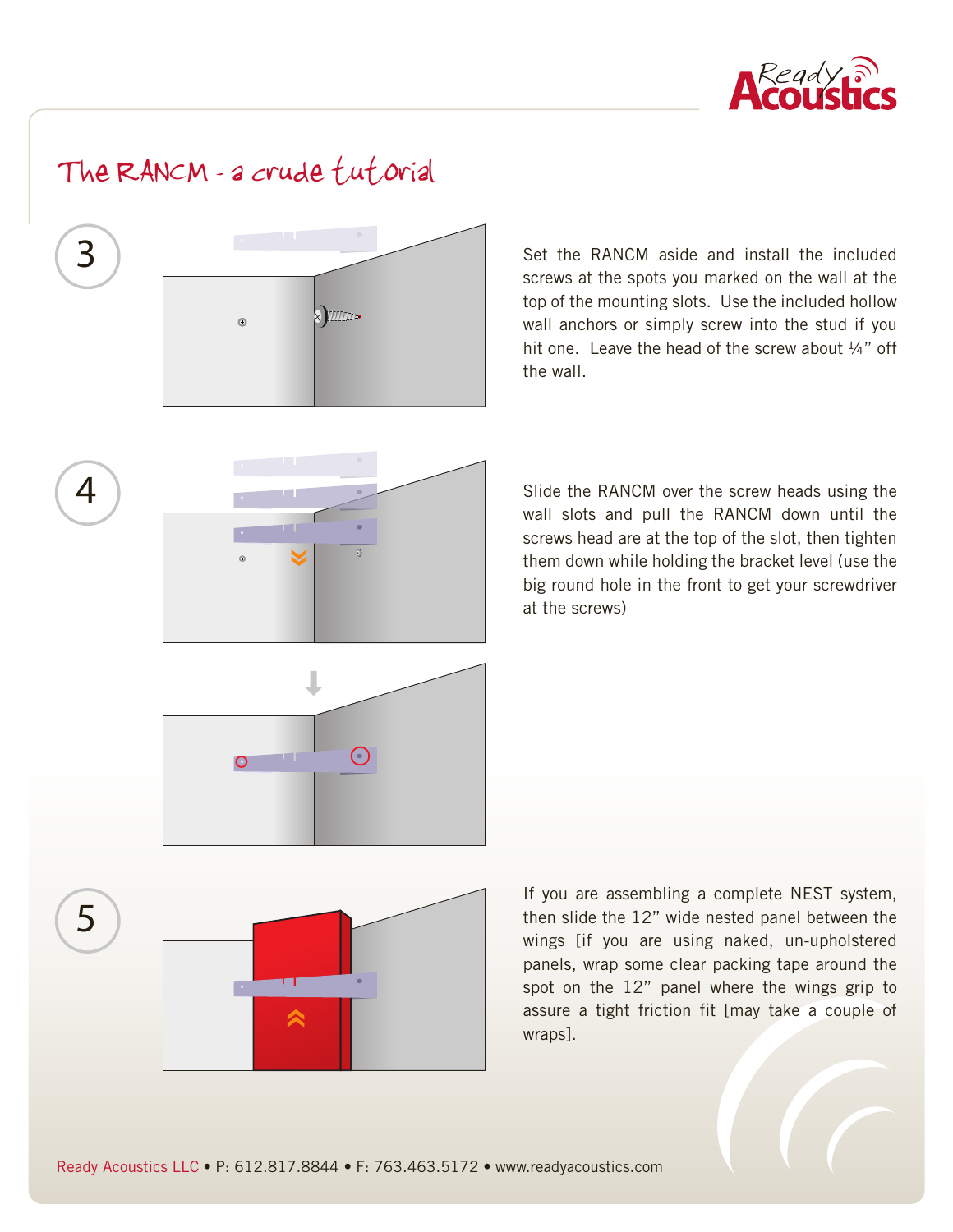

## The RANCM - a crude fut orial



4

5

Set the RANCM aside and install the included screws at the spots you marked on the wall at the top of the mounting slots. Use the included hollow wall anchors or simply screw into the stud if you hit one. Leave the head of the screw about 1/4" off the wall.

Slide the RANCM over the screw heads using the wall slots and pull the RANCM down until the screws head are at the top of the slot, then tighten them down while holding the bracket level (use the big round hole in the front to get your screwdriver at the screws)



If you are assembling a complete NEST system, then slide the 12" wide nested panel between the wings [if you are using naked, un-upholstered panels, wrap some clear packing tape around the spot on the 12" panel where the wings grip to assure a tight friction fit [may take a couple of wraps].

Ready Acoustics LLC **•** P: 612.817.8844 **•** F: 763.463.5172 **•** www.readyacoustics.com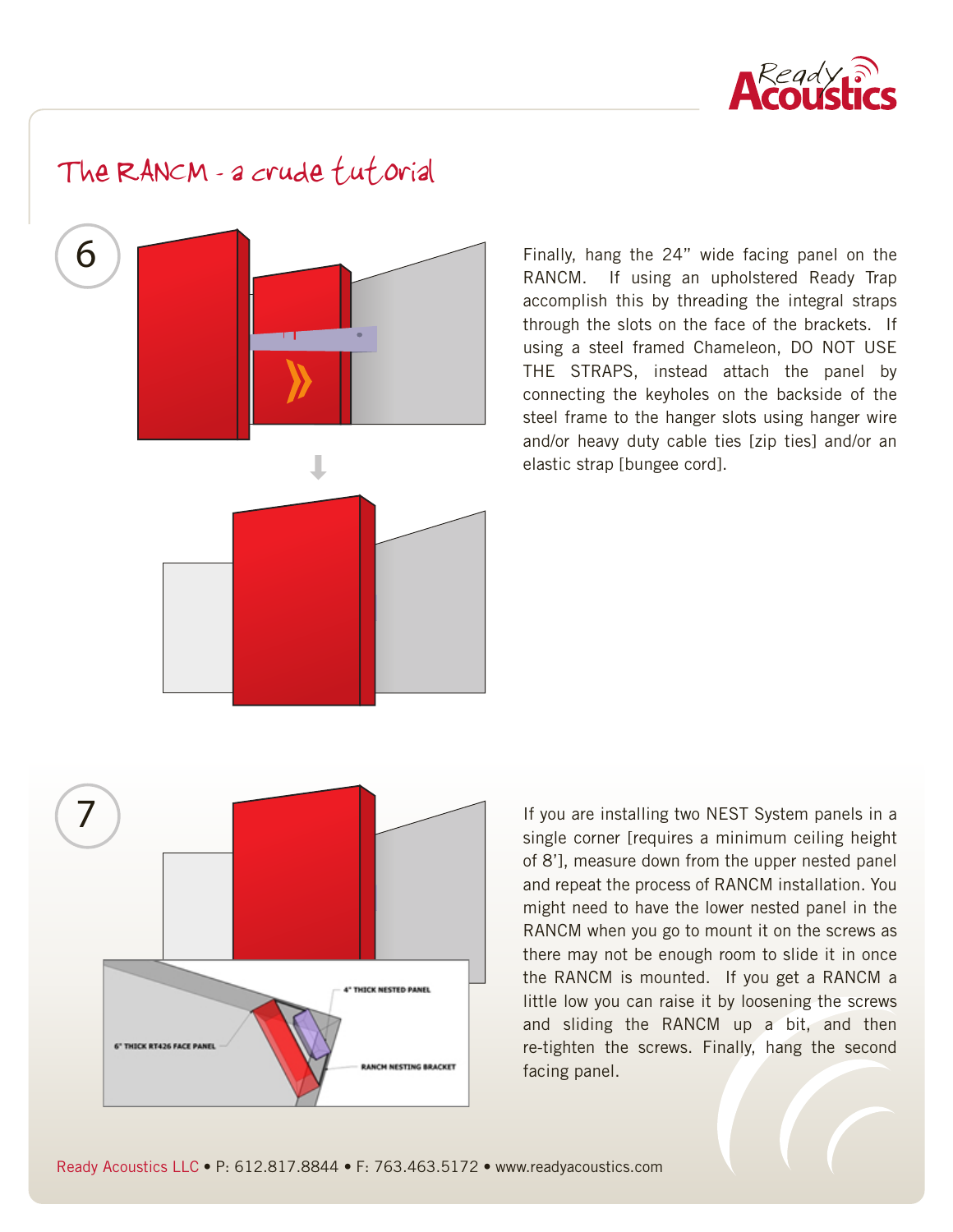

The RANCM - a crude fut orial



Finally, hang the 24" wide facing panel on the RANCM. If using an upholstered Ready Trap accomplish this by threading the integral straps through the slots on the face of the brackets. If using a steel framed Chameleon, DO NOT USE THE STRAPS, instead attach the panel by connecting the keyholes on the backside of the steel frame to the hanger slots using hanger wire and/or heavy duty cable ties [zip ties] and/or an elastic strap [bungee cord].



If you are installing two NEST System panels in a single corner [requires a minimum ceiling height of 8'], measure down from the upper nested panel and repeat the process of RANCM installation. You might need to have the lower nested panel in the RANCM when you go to mount it on the screws as there may not be enough room to slide it in once the RANCM is mounted. If you get a RANCM a little low you can raise it by loosening the screws and sliding the RANCM up a bit, and then re-tighten the screws. Finally, hang the second facing panel.